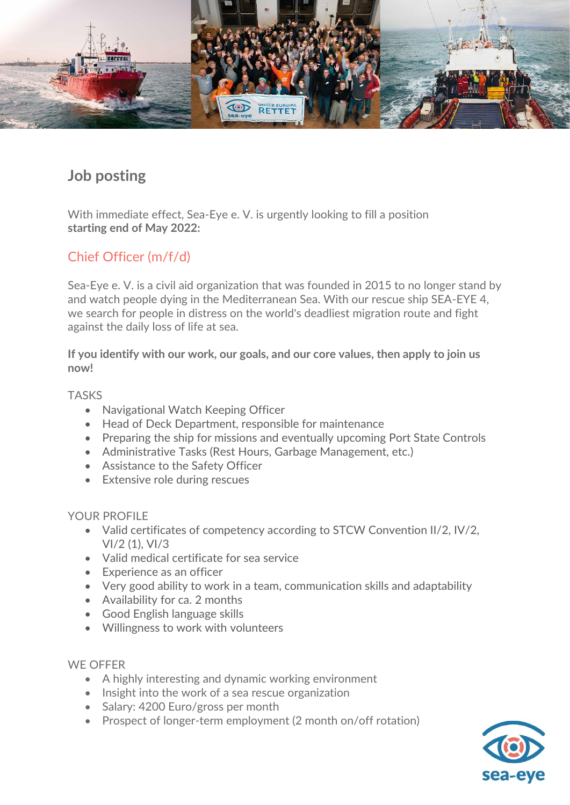

# **Job posting**

With immediate effect, Sea-Eye e. V. is urgently looking to fill a position **starting end of May 2022:** 

## Chief Officer (m/f/d)

Sea-Eye e. V. is a civil aid organization that was founded in 2015 to no longer stand by and watch people dying in the Mediterranean Sea. With our rescue ship SEA-EYE 4, we search for people in distress on the world's deadliest migration route and fight against the daily loss of life at sea.

**If you identify with our work, our goals, and our core values, then apply to join us now!**

#### TASKS

- Navigational Watch Keeping Officer
- Head of Deck Department, responsible for maintenance
- Preparing the ship for missions and eventually upcoming Port State Controls
- Administrative Tasks (Rest Hours, Garbage Management, etc.)
- Assistance to the Safety Officer
- Extensive role during rescues

#### YOUR PROFILE

- Valid certificates of competency according to STCW Convention II/2, IV/2, VI/2 (1), VI/3
- Valid medical certificate for sea service
- Experience as an officer
- Very good ability to work in a team, communication skills and adaptability
- Availability for ca. 2 months
- Good English language skills
- Willingness to work with volunteers

#### WE OFFER

- A highly interesting and dynamic working environment
- Insight into the work of a sea rescue organization
- Salary: 4200 Euro/gross per month
- Prospect of longer-term employment (2 month on/off rotation)